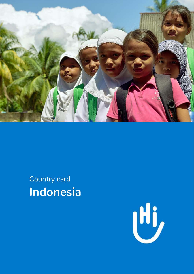

Country card **Indonesia**

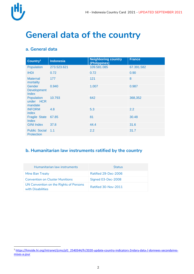# **General data of the country**

### **a. General data**

| Country <sup>1</sup>                         | <b>Indonesia</b> | <b>Neighboring country</b><br>(Philippines) | <b>France</b> |
|----------------------------------------------|------------------|---------------------------------------------|---------------|
| Population                                   | 273.523.621      | 109.581.085                                 | 67.391.582    |
| <b>IHDI</b>                                  | 0.72             | 0.72                                        | 0.90          |
| <b>Maternal</b><br>mortality                 | 177              | 121                                         | 8             |
| <b>Gender</b><br><b>Development</b><br>Index | 0.940            | 1.007                                       | 0.987         |
| Population<br>under HCR<br>mandate           | 10.793           | 642                                         | 368,352       |
| <b>INFORM</b><br>index                       | 4.8              | 5.3                                         | 2.2           |
| <b>Fragile State</b><br>Index                | 67.85            | 81                                          | 30.48         |
| <b>GINI Index</b>                            | 37.8             | 44.4                                        | 31.6          |
| <b>Public Social</b><br>Protection           | 1.1              | 2.2                                         | 31.7          |

### **b. Humanitarian law instruments ratified by the country**

| Humanitarian law instruments                                | <b>Status</b>        |
|-------------------------------------------------------------|----------------------|
| Mine Ban Treaty                                             | Ratified 29-Dec-2006 |
| <b>Convention on Cluster Munitions</b>                      | Signed 03-Dec-2008   |
| UN Convention on the Rights of Persons<br>with Disabilities | Ratified 30-Nov-2011 |

 $\overline{a}$ <sup>1</sup> [https://hinside.hi.org/intranet/jcms/pl1\\_2540344/fr/2020-update-country-indicators-2ndary-data-/-donnees-secondaires](https://hinside.hi.org/intranet/jcms/pl1_2540344/fr/2020-update-country-indicators-2ndary-data-/-donnees-secondaires-mises-a-jour)[mises-a-jour](https://hinside.hi.org/intranet/jcms/pl1_2540344/fr/2020-update-country-indicators-2ndary-data-/-donnees-secondaires-mises-a-jour)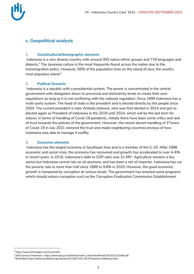



### **c. Geopolitical analysis**

#### 1. **Social/cultural/demographic elements**

Indonesia is a very diverse country with around 300 native ethnic groups and 719 languages and dialects.<sup>2</sup> The Javanese culture is the most frequently found across the nation due to the transmigration policy. However, 56% of the population lives on the island of Java, the world's most populous island.<sup>3</sup>

#### 2. **Political Scenario**

Indonesia is a republic with a presidential system. The power is concentrated in the central government with delegation down to provincial and district/city levels to create their own regulations as long as it is not conflicting with the national regulation. Since 1999 Indonesia has a multi-party system. The head of state is the president and is elected directly by the people since 2004. The current president is Joko Widodo (Jokowi), who was first elected in 2014 and got reelected again as President of Indonesia in the 2019 until 2024; which will be the last term for Jokowi. In terms of handling of Covid-19 pandemic, initially there have been some critics and lack of trust towards the policies of the government. However, the recent decent handling of  $3<sup>rd</sup>$ wave of Covid-19 in July 2021 restored the trust and made neighboring countries envious of how Indonesia was able to manage it swiftly.

#### 3. **Economic elements**

Indonesia has the largest economy in Southeast Asia and is a member of the G-20. After 1998 economic and social crisis, the economy has recovered and growth has accelerated to over 4–6% in recent years. In 2016, Indonesia's debt to GDP ratio was 31.4%<sup>4</sup>. Agriculture remains a key sector but Indonesia cannot rely on oil anymore, and has been a net oil importer. Indonesia has cut the poverty rate to more than half since 1999 to 9.8% in 2020. However, the good economic growth is hampered by corruption at various levels. The government has enacted some programs which should reduce corruption such as the Corruption Eradication Commission Establishment.

 $\overline{a}$ 

<sup>2</sup> <https://www.ethnologue.com/country/ID>

<sup>3</sup> 2020 Census of Indonesia - https://www.bps.go.id/website/materi\_ind/materiBrsInd-20210121151046.pdf

<sup>4</sup> World Ban[k https://data.worldbank.org/indicator/GC.DOD.TOTL.GD.ZS?locations=ID&view=chart](https://data.worldbank.org/indicator/GC.DOD.TOTL.GD.ZS?locations=ID&view=chart)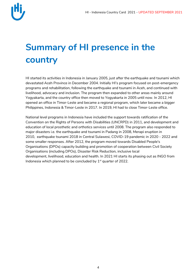

# **Summary of HI presence in the country**

HI started its activities in Indonesia in January 2005, just after the earthquake and tsunami which devastated Aceh Province in December 2004. Initially HI's program focused on post-emergency programs and rehabilitation, following the earthquake and tsunami in Aceh, and continued with livelihood, advocacy and inclusion. The program then expanded to other areas mainly around Yogyakarta, and the country office then moved to Yogyakarta in 2005 until now. In 2012, HI opened an office in Timor-Leste and became a regional program, which later became a bigger Philippines, Indonesia & Timor-Leste in 2017. In 2019, HI had to close Timor-Leste office.

National level programs in Indonesia have included the support towards ratification of the Convention on the Rights of Persons with Disabilities (UNCRPD) in 2011, and development and education of local prosthetic and orthotics services until 2008. The program also responded to major disasters i.e. the earthquake and tsunami in Padang in 2008, Merapi eruption in 2010, earthquake tsunami 2018 in Central Sulawesi, COVID-19 pandemic in 2020 - 2022 and some smaller responses. After 2012, the program moved towards Disabled People's Organisations (DPOs) capacity building and promotion of cooperation between Civil Society Organisations (including DPOs), Disaster Risk Reduction, inclusive local development, livelihood, education and health. In 2021 HI starts its phasing out as INGO from Indonesia which planned to be concluded by  $1<sup>st</sup>$  quarter of 2022.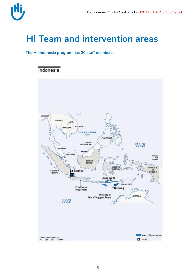## **HI Team and intervention areas**

#### **The HI Indonesia program has 20 staff members**

### Indonesia

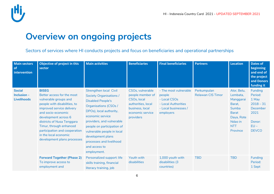

## **Overview on ongoing projects**

Sectors of services where HI conducts projects and focus on beneficiaries and operational partnerships

| <b>Main sectors</b><br>of<br>intervention          | Objective of project in this<br>sector                                                                                                                                                                                                                                                                                           | <b>Main activities</b>                                                                                                                                                                                                                                                                                                                               | <b>Beneficiaries</b>                                                                                                          | <b>Final beneficiaries</b>                                                                                  | <b>Partners</b>                         | <b>Location</b>                                                                                                            | <b>Dates of</b><br>beginning<br>and end of<br>the project<br>and Donors<br>funding it                     |
|----------------------------------------------------|----------------------------------------------------------------------------------------------------------------------------------------------------------------------------------------------------------------------------------------------------------------------------------------------------------------------------------|------------------------------------------------------------------------------------------------------------------------------------------------------------------------------------------------------------------------------------------------------------------------------------------------------------------------------------------------------|-------------------------------------------------------------------------------------------------------------------------------|-------------------------------------------------------------------------------------------------------------|-----------------------------------------|----------------------------------------------------------------------------------------------------------------------------|-----------------------------------------------------------------------------------------------------------|
| <b>Social</b><br>Inclusion -<br><b>Livelihoods</b> | <b>BISEG</b><br>Better access for the most<br>vulnerable groups and<br>people with disabilities, to<br>improved service delivery<br>and socio-economic<br>development across 6<br>districts of Nusa Tenggara<br>Timur, through enhanced<br>participation and cooperation<br>in the local economic<br>development plans processes | <b>Strengthen local Civil</b><br><b>Society Organisations /</b><br><b>Disabled People's</b><br><b>Organisations (CSOs /</b><br>DPOs), local authority,<br>economic service<br>providers, and vulnerable<br>people on participation of<br>vulnerable people in local<br>development plans<br>processes and livelihood<br>and access to<br>employment. | CSOs, vulnerable<br>people member of<br>CSOs, local<br>authorities, local<br>business, local<br>economic service<br>providers | - The most vulnerable<br>people<br>- Local CSOs<br>- Local Authorities<br>- Local businesses /<br>employers | Perkumpulan<br><b>Relawan CIS Timor</b> | Alor, Belu,<br>Lembata,<br>Manggarai<br>Barat,<br>Sumba<br><b>Barat</b><br>Daya, Rote<br>Ndao in<br><b>NTT</b><br>Province | <b>Funding</b><br>Period:<br>1 May<br>$2018 - 31$<br>December<br>2021<br>Donor:<br>$EU -$<br><b>DEVCO</b> |
|                                                    | <b>Forward Together (Phase 2)</b><br>To improve access to<br>employment and                                                                                                                                                                                                                                                      | Personalized support: life<br>skills training, financial<br>literacy training, job                                                                                                                                                                                                                                                                   | Youth with<br>disabilities                                                                                                    | 1,000 youth with<br>disabilities (3<br>countries)                                                           | <b>TBD</b>                              | <b>TBD</b>                                                                                                                 | Funding<br>Period:<br>1 Sept                                                                              |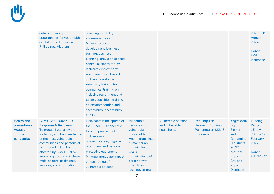|                                                                              | entrepreneurship<br>opportunities for youth with<br>disabilities in Indonesia,<br>Philippines, Vietnam                                                                                                                                                                                                                               | coaching, disability<br>awareness training;<br>Microenterprise<br>development: business<br>training, business<br>planning, provision of seed<br>capital, business forum;<br>Inclusive employment:<br>Assessment on disability-<br>inclusion, disability-<br>sensitivity training for<br>companies, training on<br>inclusive recruitment and<br>talent acquisition, training<br>on accommodation and<br>accessibility, accessibility<br>audits. |                                                                                                                                                                                                                      |                                                    |                                                                     |                                                                                                                                                              | $2021 - 31$<br>August<br>2024<br>Donor:<br><b>FWD</b><br>Insurance                                   |
|------------------------------------------------------------------------------|--------------------------------------------------------------------------------------------------------------------------------------------------------------------------------------------------------------------------------------------------------------------------------------------------------------------------------------|------------------------------------------------------------------------------------------------------------------------------------------------------------------------------------------------------------------------------------------------------------------------------------------------------------------------------------------------------------------------------------------------------------------------------------------------|----------------------------------------------------------------------------------------------------------------------------------------------------------------------------------------------------------------------|----------------------------------------------------|---------------------------------------------------------------------|--------------------------------------------------------------------------------------------------------------------------------------------------------------|------------------------------------------------------------------------------------------------------|
| <b>Health and</b><br>prevention -<br><b>Acute or</b><br>chronic<br>pandemics | I AM SAFE - Covid-19<br><b>Response &amp; Recovery</b><br>To protect lives, alleviate<br>suffering, and build resilience<br>of the most vulnerable<br>communities and persons at<br>heightened risk of being<br>affected by COVID-19 by<br>improving access to inclusive<br>multi-sectoral assistance,<br>services, and information. | Help contain the spread of<br>the COVID-19 pandemic<br>through provision of<br>inclusive risk<br>communication, hygiene<br>promotion, and personal<br>protective equipment.<br>Mitigate immediate impact<br>on well-being of<br>vulnerable persons                                                                                                                                                                                             | Vulnerable<br>persons and<br>vulnerable<br>households<br><b>Health front-liners</b><br>humanitarian<br>organizations,<br>CSO <sub>s</sub> ,<br>organizations of<br>persons with<br>disabilities,<br>local government | Vulnerable persons<br>and vulnerable<br>households | Perkumpulan<br>Relawan CIS Timor,<br>Perkumpulan SIGAB<br>Indonesia | Yogyakarta<br>city,<br>Sleman<br>and<br>Gunungkid<br>ul districts<br>in DIY<br>province;<br><b>Kupang</b><br>City and<br><b>Kupang</b><br><b>District in</b> | <b>Funding</b><br>Period:<br>15 July<br>$2020 - 14$<br>February<br>2022<br>Donor:<br><b>EU DEVCO</b> |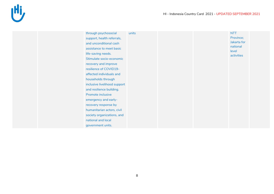

| Province;<br>support, health referrals,<br>Jakarta for<br>and unconditional cash<br>national<br>assistance to meet basic<br>level<br>life-saving needs.<br>activities<br>Stimulate socio-economic<br>recovery and improve<br>resilience of COVID19-<br>affected individuals and<br>households through<br>inclusive livelihood support<br>and resilience building.<br>Promote inclusive<br>emergency and early-<br>recovery response by<br>humanitarian actors, civil<br>society organizations, and<br>national and local | through psychosocial | units |  | <b>NTT</b> |  |
|--------------------------------------------------------------------------------------------------------------------------------------------------------------------------------------------------------------------------------------------------------------------------------------------------------------------------------------------------------------------------------------------------------------------------------------------------------------------------------------------------------------------------|----------------------|-------|--|------------|--|
|                                                                                                                                                                                                                                                                                                                                                                                                                                                                                                                          |                      |       |  |            |  |
|                                                                                                                                                                                                                                                                                                                                                                                                                                                                                                                          |                      |       |  |            |  |
|                                                                                                                                                                                                                                                                                                                                                                                                                                                                                                                          |                      |       |  |            |  |
|                                                                                                                                                                                                                                                                                                                                                                                                                                                                                                                          |                      |       |  |            |  |
|                                                                                                                                                                                                                                                                                                                                                                                                                                                                                                                          |                      |       |  |            |  |
|                                                                                                                                                                                                                                                                                                                                                                                                                                                                                                                          |                      |       |  |            |  |
|                                                                                                                                                                                                                                                                                                                                                                                                                                                                                                                          |                      |       |  |            |  |
|                                                                                                                                                                                                                                                                                                                                                                                                                                                                                                                          |                      |       |  |            |  |
|                                                                                                                                                                                                                                                                                                                                                                                                                                                                                                                          |                      |       |  |            |  |
|                                                                                                                                                                                                                                                                                                                                                                                                                                                                                                                          |                      |       |  |            |  |
|                                                                                                                                                                                                                                                                                                                                                                                                                                                                                                                          |                      |       |  |            |  |
|                                                                                                                                                                                                                                                                                                                                                                                                                                                                                                                          |                      |       |  |            |  |
|                                                                                                                                                                                                                                                                                                                                                                                                                                                                                                                          |                      |       |  |            |  |
|                                                                                                                                                                                                                                                                                                                                                                                                                                                                                                                          |                      |       |  |            |  |
|                                                                                                                                                                                                                                                                                                                                                                                                                                                                                                                          |                      |       |  |            |  |
|                                                                                                                                                                                                                                                                                                                                                                                                                                                                                                                          |                      |       |  |            |  |
|                                                                                                                                                                                                                                                                                                                                                                                                                                                                                                                          |                      |       |  |            |  |
|                                                                                                                                                                                                                                                                                                                                                                                                                                                                                                                          | government units.    |       |  |            |  |